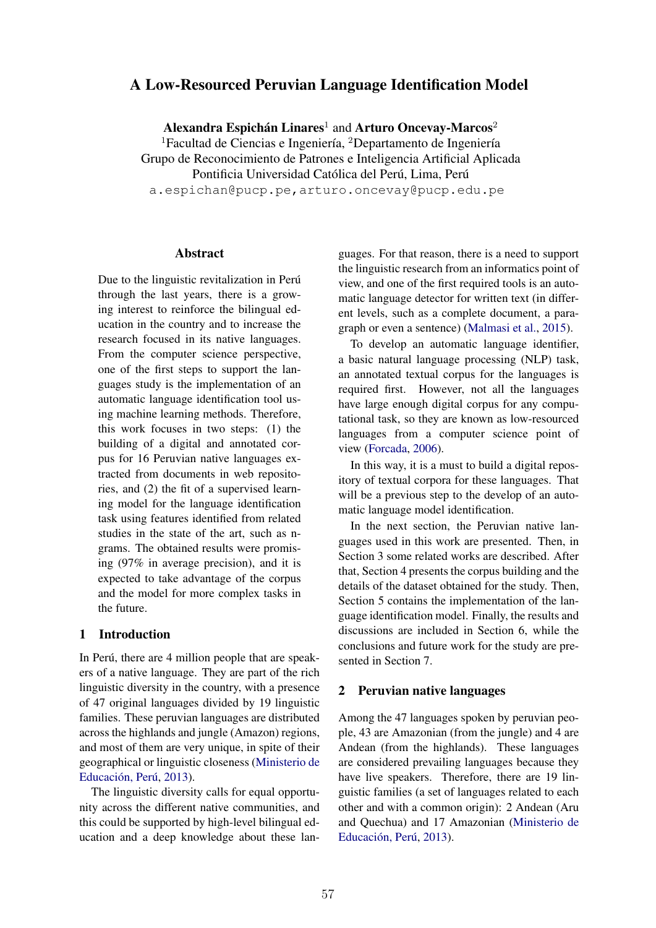# A Low-Resourced Peruvian Language Identification Model

Alexandra Espichán Linares<sup>1</sup> and Arturo Oncevay-Marcos<sup>2</sup>

 $1$ Facultad de Ciencias e Ingeniería,  $2$ Departamento de Ingeniería Grupo de Reconocimiento de Patrones e Inteligencia Artificial Aplicada Pontificia Universidad Católica del Perú, Lima, Perú

a.espichan@pucp.pe,arturo.oncevay@pucp.edu.pe

### Abstract

Due to the linguistic revitalization in Perú through the last years, there is a growing interest to reinforce the bilingual education in the country and to increase the research focused in its native languages. From the computer science perspective, one of the first steps to support the languages study is the implementation of an automatic language identification tool using machine learning methods. Therefore, this work focuses in two steps: (1) the building of a digital and annotated corpus for 16 Peruvian native languages extracted from documents in web repositories, and (2) the fit of a supervised learning model for the language identification task using features identified from related studies in the state of the art, such as ngrams. The obtained results were promising (97% in average precision), and it is expected to take advantage of the corpus and the model for more complex tasks in the future.

# 1 Introduction

In Perú, there are 4 million people that are speakers of a native language. They are part of the rich linguistic diversity in the country, with a presence of 47 original languages divided by 19 linguistic families. These peruvian languages are distributed across the highlands and jungle (Amazon) regions, and most of them are very unique, in spite of their geographical or linguistic closeness (Ministerio de Educación, Perú, 2013).

The linguistic diversity calls for equal opportunity across the different native communities, and this could be supported by high-level bilingual education and a deep knowledge about these languages. For that reason, there is a need to support the linguistic research from an informatics point of view, and one of the first required tools is an automatic language detector for written text (in different levels, such as a complete document, a paragraph or even a sentence) (Malmasi et al., 2015).

To develop an automatic language identifier, a basic natural language processing (NLP) task, an annotated textual corpus for the languages is required first. However, not all the languages have large enough digital corpus for any computational task, so they are known as low-resourced languages from a computer science point of view (Forcada, 2006).

In this way, it is a must to build a digital repository of textual corpora for these languages. That will be a previous step to the develop of an automatic language model identification.

In the next section, the Peruvian native languages used in this work are presented. Then, in Section 3 some related works are described. After that, Section 4 presents the corpus building and the details of the dataset obtained for the study. Then, Section 5 contains the implementation of the language identification model. Finally, the results and discussions are included in Section 6, while the conclusions and future work for the study are presented in Section 7.

#### 2 Peruvian native languages

Among the 47 languages spoken by peruvian people, 43 are Amazonian (from the jungle) and 4 are Andean (from the highlands). These languages are considered prevailing languages because they have live speakers. Therefore, there are 19 linguistic families (a set of languages related to each other and with a common origin): 2 Andean (Aru and Quechua) and 17 Amazonian (Ministerio de Educación, Perú, 2013).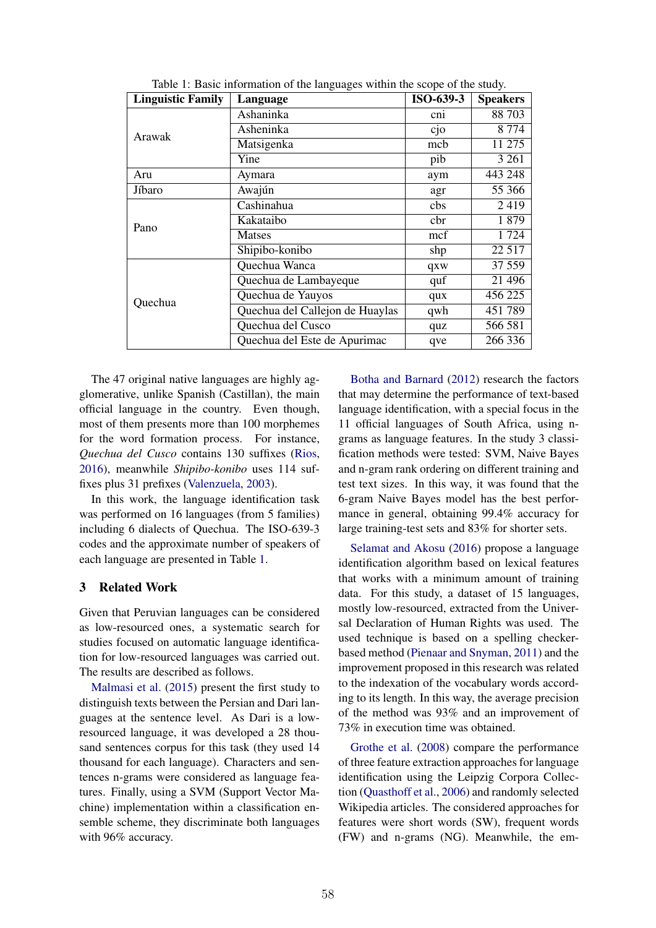| <b>Linguistic Family</b> | Language                        | ISO-639-3 | <b>Speakers</b> |  |  |
|--------------------------|---------------------------------|-----------|-----------------|--|--|
|                          | Ashaninka                       | cni       | 88 703          |  |  |
| Arawak                   | Asheninka                       | cjo       | 8 7 7 4         |  |  |
|                          | Matsigenka                      | mcb       | 11 275          |  |  |
|                          | Yine                            | pib       | 3 2 6 1         |  |  |
| Aru                      | Aymara                          | aym       | 443 248         |  |  |
| Jíbaro                   | Awajún                          | agr       | 55 366          |  |  |
|                          | Cashinahua                      | cbs       | 2419            |  |  |
| Pano                     | Kakataibo                       | cbr       | 1879            |  |  |
|                          | <b>Matses</b>                   | mcf       | 1724            |  |  |
|                          | Shipibo-konibo                  | shp       | 22 5 17         |  |  |
|                          | Quechua Wanca                   | qxw       | 37 559          |  |  |
|                          | Quechua de Lambayeque           | quf       | 21 49 6         |  |  |
| Quechua                  | Quechua de Yauyos               | qux       | 456 225         |  |  |
|                          | Quechua del Callejon de Huaylas | qwh       | 451 789         |  |  |
|                          | Quechua del Cusco               | quz       | 566 581         |  |  |
|                          | Quechua del Este de Apurimac    | qve       | 266 336         |  |  |

Table 1: Basic information of the languages within the scope of the study.

The 47 original native languages are highly agglomerative, unlike Spanish (Castillan), the main official language in the country. Even though, most of them presents more than 100 morphemes for the word formation process. For instance, *Quechua del Cusco* contains 130 suffixes (Rios, 2016), meanwhile *Shipibo-konibo* uses 114 suffixes plus 31 prefixes (Valenzuela, 2003).

In this work, the language identification task was performed on 16 languages (from 5 families) including 6 dialects of Quechua. The ISO-639-3 codes and the approximate number of speakers of each language are presented in Table 1.

# 3 Related Work

Given that Peruvian languages can be considered as low-resourced ones, a systematic search for studies focused on automatic language identification for low-resourced languages was carried out. The results are described as follows.

Malmasi et al. (2015) present the first study to distinguish texts between the Persian and Dari languages at the sentence level. As Dari is a lowresourced language, it was developed a 28 thousand sentences corpus for this task (they used 14 thousand for each language). Characters and sentences n-grams were considered as language features. Finally, using a SVM (Support Vector Machine) implementation within a classification ensemble scheme, they discriminate both languages with 96% accuracy.

Botha and Barnard (2012) research the factors that may determine the performance of text-based language identification, with a special focus in the 11 official languages of South Africa, using ngrams as language features. In the study 3 classification methods were tested: SVM, Naive Bayes and n-gram rank ordering on different training and test text sizes. In this way, it was found that the 6-gram Naive Bayes model has the best performance in general, obtaining 99.4% accuracy for large training-test sets and 83% for shorter sets.

Selamat and Akosu (2016) propose a language identification algorithm based on lexical features that works with a minimum amount of training data. For this study, a dataset of 15 languages, mostly low-resourced, extracted from the Universal Declaration of Human Rights was used. The used technique is based on a spelling checkerbased method (Pienaar and Snyman, 2011) and the improvement proposed in this research was related to the indexation of the vocabulary words according to its length. In this way, the average precision of the method was 93% and an improvement of 73% in execution time was obtained.

Grothe et al. (2008) compare the performance of three feature extraction approaches for language identification using the Leipzig Corpora Collection (Quasthoff et al., 2006) and randomly selected Wikipedia articles. The considered approaches for features were short words (SW), frequent words (FW) and n-grams (NG). Meanwhile, the em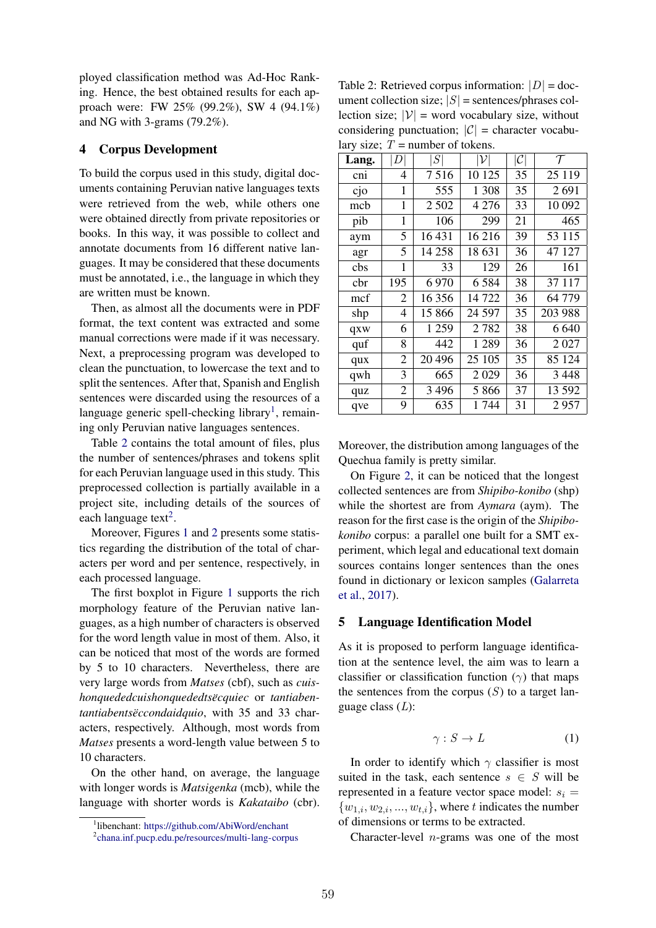ployed classification method was Ad-Hoc Ranking. Hence, the best obtained results for each approach were: FW 25% (99.2%), SW 4 (94.1%) and NG with 3-grams (79.2%).

### 4 Corpus Development

To build the corpus used in this study, digital documents containing Peruvian native languages texts were retrieved from the web, while others one were obtained directly from private repositories or books. In this way, it was possible to collect and annotate documents from 16 different native languages. It may be considered that these documents must be annotated, i.e., the language in which they are written must be known.

Then, as almost all the documents were in PDF format, the text content was extracted and some manual corrections were made if it was necessary. Next, a preprocessing program was developed to clean the punctuation, to lowercase the text and to split the sentences. After that, Spanish and English sentences were discarded using the resources of a language generic spell-checking library<sup>1</sup>, remaining only Peruvian native languages sentences.

Table 2 contains the total amount of files, plus the number of sentences/phrases and tokens split for each Peruvian language used in this study. This preprocessed collection is partially available in a project site, including details of the sources of each language text<sup>2</sup>.

Moreover, Figures 1 and 2 presents some statistics regarding the distribution of the total of characters per word and per sentence, respectively, in each processed language.

The first boxplot in Figure 1 supports the rich morphology feature of the Peruvian native languages, as a high number of characters is observed for the word length value in most of them. Also, it can be noticed that most of the words are formed by 5 to 10 characters. Nevertheless, there are very large words from *Matses* (cbf), such as *cuishonquededcuishonquededtsëcquiec* or *tantiabentantiabentsëccondaidquio*, with 35 and 33 characters, respectively. Although, most words from *Matses* presents a word-length value between 5 to 10 characters.

On the other hand, on average, the language with longer words is *Matsigenka* (mcb), while the language with shorter words is *Kakataibo* (cbr).

Table 2: Retrieved corpus information:  $|D| =$  document collection size; *|S|* = sentences/phrases collection size;  $|V|$  = word vocabulary size, without considering punctuation;  $|C|$  = character vocabulary size:  $T$  = number of tokens.

| ally size, $I =$ number of tokens. |                           |          |                 |                 |         |  |  |  |  |  |
|------------------------------------|---------------------------|----------|-----------------|-----------------|---------|--|--|--|--|--|
| Lang.                              | $\left\vert D\right\vert$ | S        | $ \mathcal{V} $ | $ \mathcal{C} $ | $\tau$  |  |  |  |  |  |
| cni                                | 4                         | 7516     | 10 125          | 35              | 25 1 19 |  |  |  |  |  |
| cjo                                | $\mathbf{1}$              | 555      | 1 3 0 8         | 35              | 2691    |  |  |  |  |  |
| mcb                                | 1                         | 2 5 0 2  | 4 2 7 6         | 33              | 10 092  |  |  |  |  |  |
| pib                                | 1                         | 106      | 299             | 21              | 465     |  |  |  |  |  |
| aym                                | 5                         | 16431    | 16 216          | 39              | 53 115  |  |  |  |  |  |
| agr                                | 5                         | 14 258   | 18 631          | 36              | 47 127  |  |  |  |  |  |
| cbs                                | 1                         | 33       | 129             | 26              | 161     |  |  |  |  |  |
| cbr                                | 195                       | 6970     | 6584            | 38              | 37 117  |  |  |  |  |  |
| mcf                                | 2                         | 16 356   | 14722           | 36              | 64 779  |  |  |  |  |  |
| shp                                | 4                         | 15 866   | 24 5 97         | 35              | 203 988 |  |  |  |  |  |
| qxw                                | 6                         | 1 2 5 9  | 2782            | 38              | 6 640   |  |  |  |  |  |
| quf                                | 8                         | 442      | 1 2 8 9         | 36              | 2 027   |  |  |  |  |  |
| qux                                | $\overline{2}$            | 20 4 9 6 | 25 105          | 35              | 85 124  |  |  |  |  |  |
| qwh                                | 3                         | 665      | 2029            | 36              | 3 4 4 8 |  |  |  |  |  |
| quz                                | 2                         | 3 4 9 6  | 5 8 6 6         | 37              | 13 592  |  |  |  |  |  |
| qve                                | 9                         | 635      | 1744            | 31              | 2957    |  |  |  |  |  |
|                                    |                           |          |                 |                 |         |  |  |  |  |  |

Moreover, the distribution among languages of the Quechua family is pretty similar.

On Figure 2, it can be noticed that the longest collected sentences are from *Shipibo-konibo* (shp) while the shortest are from *Aymara* (aym). The reason for the first case is the origin of the *Shipibokonibo* corpus: a parallel one built for a SMT experiment, which legal and educational text domain sources contains longer sentences than the ones found in dictionary or lexicon samples (Galarreta et al., 2017).

# 5 Language Identification Model

As it is proposed to perform language identification at the sentence level, the aim was to learn a classifier or classification function  $(\gamma)$  that maps the sentences from the corpus  $(S)$  to a target language class (*L*):

$$
\gamma: S \to L \tag{1}
$$

In order to identify which  $\gamma$  classifier is most suited in the task, each sentence  $s \in S$  will be represented in a feature vector space model:  $s_i$  =  $\{w_{1,i}, w_{2,i}, \ldots, w_{t,i}\}$ , where *t* indicates the number of dimensions or terms to be extracted.

Character-level *n*-grams was one of the most

<sup>1</sup> libenchant: https://github.com/AbiWord/enchant

<sup>2</sup> chana.inf.pucp.edu.pe/resources/multi-lang-corpus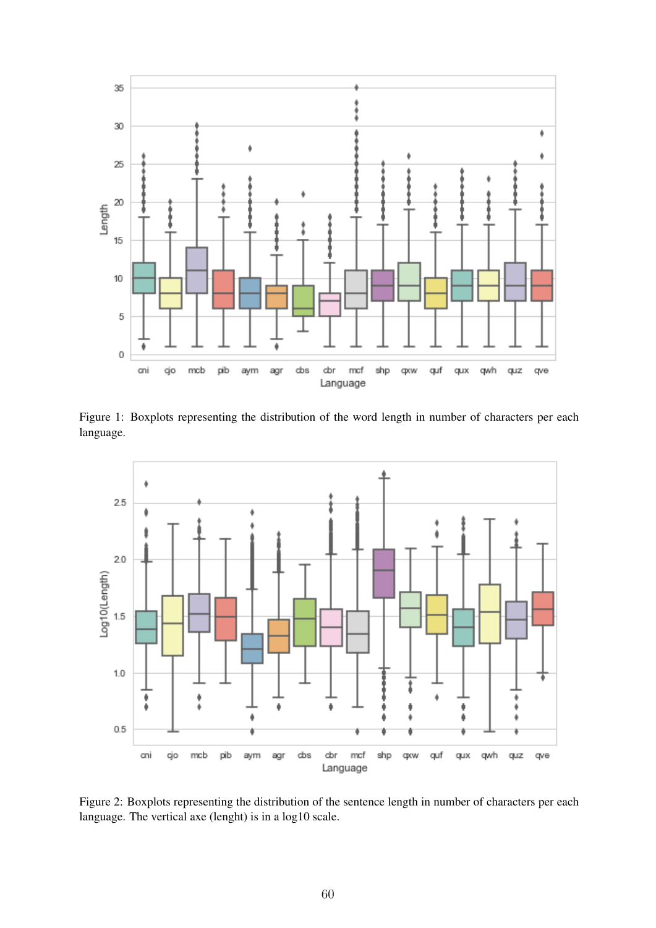

Figure 1: Boxplots representing the distribution of the word length in number of characters per each language.

![](_page_3_Figure_2.jpeg)

Figure 2: Boxplots representing the distribution of the sentence length in number of characters per each language. The vertical axe (lenght) is in a log10 scale.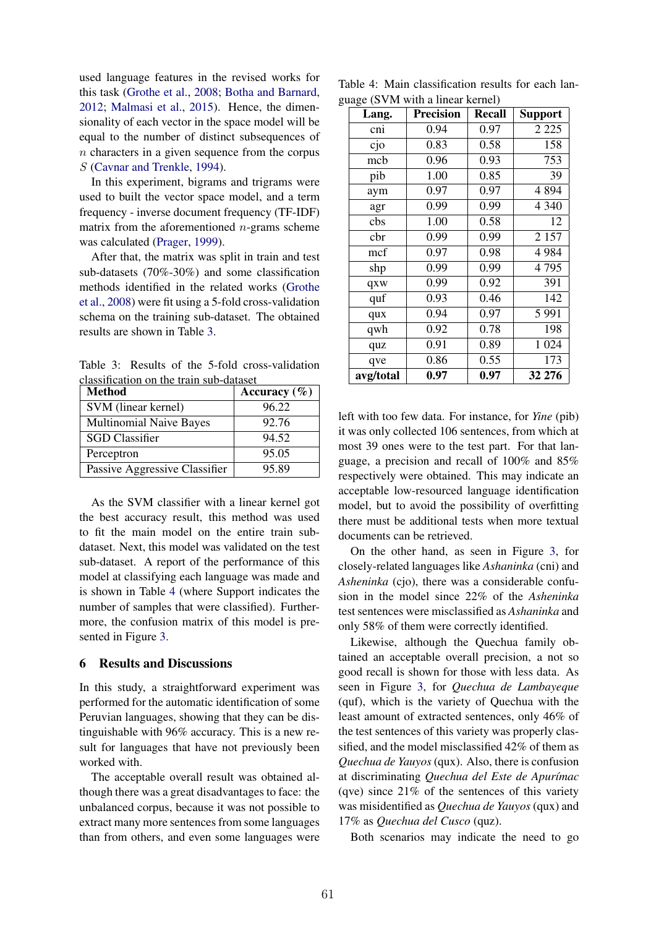used language features in the revised works for this task (Grothe et al., 2008; Botha and Barnard, 2012; Malmasi et al., 2015). Hence, the dimensionality of each vector in the space model will be equal to the number of distinct subsequences of *n* characters in a given sequence from the corpus *S* (Cavnar and Trenkle, 1994).

In this experiment, bigrams and trigrams were used to built the vector space model, and a term frequency - inverse document frequency (TF-IDF) matrix from the aforementioned *n*-grams scheme was calculated (Prager, 1999).

After that, the matrix was split in train and test sub-datasets (70%-30%) and some classification methods identified in the related works (Grothe et al., 2008) were fit using a 5-fold cross-validation schema on the training sub-dataset. The obtained results are shown in Table 3.

Table 3: Results of the 5-fold cross-validation classification on the train sub-dataset

| <b>Method</b>                  | Accuracy $(\% )$ |
|--------------------------------|------------------|
| SVM (linear kernel)            | 96.22            |
| <b>Multinomial Naive Bayes</b> | 92.76            |
| <b>SGD</b> Classifier          | 94.52            |
| Perceptron                     | 95.05            |
| Passive Aggressive Classifier  | 95.89            |

As the SVM classifier with a linear kernel got the best accuracy result, this method was used to fit the main model on the entire train subdataset. Next, this model was validated on the test sub-dataset. A report of the performance of this model at classifying each language was made and is shown in Table 4 (where Support indicates the number of samples that were classified). Furthermore, the confusion matrix of this model is presented in Figure 3.

# 6 Results and Discussions

In this study, a straightforward experiment was performed for the automatic identification of some Peruvian languages, showing that they can be distinguishable with 96% accuracy. This is a new result for languages that have not previously been worked with.

The acceptable overall result was obtained although there was a great disadvantages to face: the unbalanced corpus, because it was not possible to extract many more sentences from some languages than from others, and even some languages were

Table 4: Main classification results for each language (SVM with a linear kernel)

| Lang.     | <b>Precision</b> | <b>Recall</b> | <b>Support</b> |  |  |  |
|-----------|------------------|---------------|----------------|--|--|--|
| cni       | 0.94             | 0.97          | 2 2 2 5        |  |  |  |
| cjo       | 0.83             | 0.58          | 158            |  |  |  |
| mcb       | 0.96             | 0.93          | 753            |  |  |  |
| pib       | 1.00             | 0.85          | 39             |  |  |  |
| aym       | 0.97             | 0.97          | 4894           |  |  |  |
| agr       | 0.99             | 0.99          | 4 3 4 0        |  |  |  |
| cbs       | 1.00             | 0.58          | 12             |  |  |  |
| cbr       | 0.99             | 0.99          | 2 1 5 7        |  |  |  |
| mcf       | 0.97             | 0.98          | 4984           |  |  |  |
| shp       | 0.99             | 0.99          | 4795           |  |  |  |
| qxw       | 0.99             | 0.92          | 391            |  |  |  |
| quf       | 0.93             | 0.46          | 142            |  |  |  |
| qux       | 0.94             | 0.97          | 5991           |  |  |  |
| qwh       | 0.92             | 0.78          | 198            |  |  |  |
| quz       | 0.91             | 0.89          | 1 0 24         |  |  |  |
| qve       | 0.86             | 0.55          | 173            |  |  |  |
| avg/total | 0.97             | 0.97          | 32 276         |  |  |  |

left with too few data. For instance, for *Yine* (pib) it was only collected 106 sentences, from which at most 39 ones were to the test part. For that language, a precision and recall of 100% and 85% respectively were obtained. This may indicate an acceptable low-resourced language identification model, but to avoid the possibility of overfitting there must be additional tests when more textual documents can be retrieved.

On the other hand, as seen in Figure 3, for closely-related languages like *Ashaninka* (cni) and *Asheninka* (cjo), there was a considerable confusion in the model since 22% of the *Asheninka* test sentences were misclassified as *Ashaninka* and only 58% of them were correctly identified.

Likewise, although the Quechua family obtained an acceptable overall precision, a not so good recall is shown for those with less data. As seen in Figure 3, for *Quechua de Lambayeque* (quf), which is the variety of Quechua with the least amount of extracted sentences, only 46% of the test sentences of this variety was properly classified, and the model misclassified 42% of them as *Quechua de Yauyos* (qux). Also, there is confusion at discriminating *Quechua del Este de Apur´ımac* (qve) since 21% of the sentences of this variety was misidentified as *Quechua de Yauyos* (qux) and 17% as *Quechua del Cusco* (quz).

Both scenarios may indicate the need to go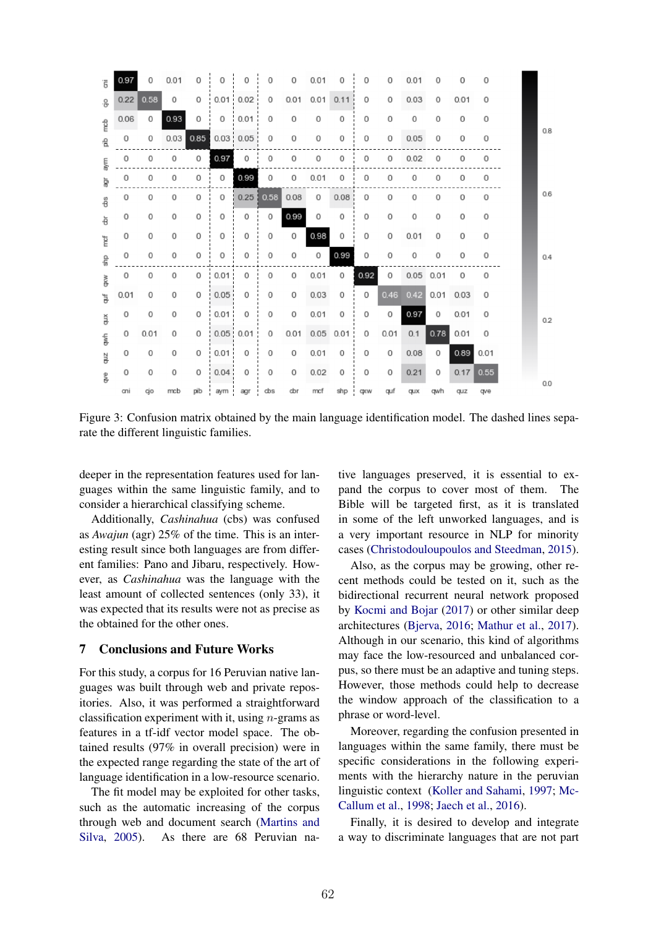| Ē             | 0.97 | 0    | 0.01 | 0      | 0         | 0             | 0    | 0       | 0.01 | 0           | 0           | 0    | 0.01        | 0    | 0           | 0    |  |     |
|---------------|------|------|------|--------|-----------|---------------|------|---------|------|-------------|-------------|------|-------------|------|-------------|------|--|-----|
| 응.            | 0.22 | 0.58 | 0    | 0      |           | $0.01$ 0.02   | 0    | 0.01    |      | $0.01$ 0.11 | 0           | 0    | 0.03        | 0    | 0.01        | 0    |  |     |
| reb           | 0.06 | 0    | 0.93 | 0      | 0         | 0.01          | 0    | 0       | 0    | 0           | 0           | 0    | 0           | 0    | 0           | 0    |  |     |
| 움             | 0    | 0    | 0.03 | 0.85   |           | $0.03$ 0.05   | 0    | 0       | 0    | 0           | 0           | 0    | 0.05        | 0    | 0           | 0    |  | 0.8 |
| aym           | 0    | 0    | 0    | 0      | 0.97      | 0             | 0    | 0       | 0    | 0           | 0           | 0    | 0.02        | 0    | 0           | 0    |  |     |
| ğ             | 0    | 0    | 0    | 0      | 0         | 0.99          | 0    | 0       | 0.01 | 0           | 0           | 0    | 0           | 0    | 0           | 0    |  |     |
| å             | 0    | 0    | 0    | 0      | 0         | 0.25          | 0.58 | 0.08    | 0    | 0.08        | 0           | 0    | 0           | 0    | 0           | 0    |  | 0.6 |
| 흉             | 0    | 0    | 0    | 0      | 0         | 0             | 0    | 0.99    | 0    | 0           | 0           | 0    | 0           | 0    | 0           | 0    |  |     |
| ĭ             | 0    | 0    | 0    | 0      | 0         | 0             | 0    | 0       | 0.98 | 0           | 0           | 0    | 0.01        | 0    | 0           | 0    |  |     |
| 룲             | 0    | 0    | 0    | 0      | 0         | 0             | 0    | 0       | 0    | 0.99        | 0           | 0    | 0           | 0    | 0           | 0    |  | 0.4 |
| š             | 0    | 0    | 0    | 0      | 0.01<br>÷ | 0             | 0    | 0       | 0.01 | $\circ$     | 0.92        | 0    | $0.05$ 0.01 |      | 0           | 0    |  |     |
| ţ             | 0.01 | 0    | 0    | 0      | 0.05      | 0             | 0    | $\circ$ | 0.03 | 0           | $\circ$     | 0.46 | 0.42        |      | $0.01$ 0.03 | 0    |  |     |
| ă             | 0    | 0    | 0    | 0<br>÷ | 0.01      | 0             | 0    | 0       | 0.01 | 0           | 0           | 0    | 0.97        | 0    | 0.01        | 0    |  | 0.2 |
| $\frac{1}{2}$ | 0    | 0.01 | 0    | 0      |           | $0.05 \t0.01$ | 0    | 0.01    |      | $0.05$ 0.01 | 0           | 0.01 | 0.1         | 0.78 | 0.01        | 0    |  |     |
| ąщ            | 0    | 0    | 0    | 0      | 0.01      | 0             | 0    | 0       | 0.01 | 0           | 0           | 0    | 0.08        | 0    | 0.89        | 0.01 |  |     |
| g<br>B        | 0    | 0    | 0    | 0      | 0.04      | 0             | 0    | 0       | 0.02 | 0           | 0           | 0    | 0.21        | 0    | 0.17        | 0.55 |  |     |
|               | ani  | qjo  | mcb  | pib    | aym       | agr           | dbs  | dbr     | mcf  | shp         | <b>cpcw</b> | quf  | <b>QUX</b>  | qwh  | quz         | qve  |  | 0.0 |

Figure 3: Confusion matrix obtained by the main language identification model. The dashed lines separate the different linguistic families.

deeper in the representation features used for languages within the same linguistic family, and to consider a hierarchical classifying scheme.

Additionally, *Cashinahua* (cbs) was confused as *Awajun* (agr) 25% of the time. This is an interesting result since both languages are from different families: Pano and Jibaru, respectively. However, as *Cashinahua* was the language with the least amount of collected sentences (only 33), it was expected that its results were not as precise as the obtained for the other ones.

# 7 Conclusions and Future Works

For this study, a corpus for 16 Peruvian native languages was built through web and private repositories. Also, it was performed a straightforward classification experiment with it, using *n*-grams as features in a tf-idf vector model space. The obtained results (97% in overall precision) were in the expected range regarding the state of the art of language identification in a low-resource scenario.

The fit model may be exploited for other tasks, such as the automatic increasing of the corpus through web and document search (Martins and Silva, 2005). As there are 68 Peruvian native languages preserved, it is essential to expand the corpus to cover most of them. The Bible will be targeted first, as it is translated in some of the left unworked languages, and is a very important resource in NLP for minority cases (Christodouloupoulos and Steedman, 2015).

Also, as the corpus may be growing, other recent methods could be tested on it, such as the bidirectional recurrent neural network proposed by Kocmi and Bojar (2017) or other similar deep architectures (Bjerva, 2016; Mathur et al., 2017). Although in our scenario, this kind of algorithms may face the low-resourced and unbalanced corpus, so there must be an adaptive and tuning steps. However, those methods could help to decrease the window approach of the classification to a phrase or word-level.

Moreover, regarding the confusion presented in languages within the same family, there must be specific considerations in the following experiments with the hierarchy nature in the peruvian linguistic context (Koller and Sahami, 1997; Mc-Callum et al., 1998; Jaech et al., 2016).

Finally, it is desired to develop and integrate a way to discriminate languages that are not part